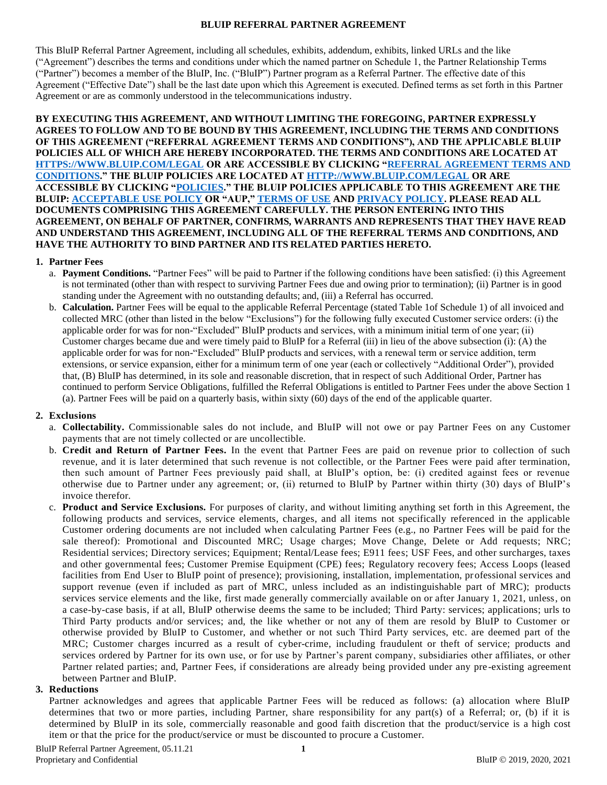# **BLUIP REFERRAL PARTNER AGREEMENT**

This BluIP Referral Partner Agreement, including all schedules, exhibits, addendum, exhibits, linked URLs and the like ("Agreement") describes the terms and conditions under which the named partner on Schedule 1, the Partner Relationship Terms ("Partner") becomes a member of the BluIP, Inc. ("BluIP") Partner program as a Referral Partner. The effective date of this Agreement ("Effective Date") shall be the last date upon which this Agreement is executed. Defined terms as set forth in this Partner Agreement or are as commonly understood in the telecommunications industry.

### **BY EXECUTING THIS AGREEMENT, AND WITHOUT LIMITING THE FOREGOING, PARTNER EXPRESSLY AGREES TO FOLLOW AND TO BE BOUND BY THIS AGREEMENT, INCLUDING THE TERMS AND CONDITIONS OF THIS AGREEMENT ("REFERRAL AGREEMENT TERMS AND CONDITIONS"), AND THE APPLICABLE BLUIP POLICIES ALL OF WHICH ARE HEREBY INCORPORATED. THE TERMS AND CONDITIONS ARE LOCATED AT [HTTPS://WWW.BLUIP.COM/LEGAL](http://www.bluip.com/LEGAL) OR ARE ACCESSIBLE BY CLICKING ["REFERRAL AGREEMENT TERMS AND](https://www.bluip.com/company/legal/referral-partner-agreement-terms-and-conditions-fixed-rate)  [CONDITIONS.](https://www.bluip.com/company/legal/referral-partner-agreement-terms-and-conditions-fixed-rate)" THE BLUIP POLICIES ARE LOCATED AT [HTTP://WWW.BLUIP.COM/LEGAL](http://www.bluip.com/LEGAL) OR ARE ACCESSIBLE BY CLICKING ["POLICIES.](https://www.bluip.com/company/legal)" THE BLUIP POLICIES APPLICABLE TO THIS AGREEMENT ARE THE BLUIP[: ACCEPTABLE USE POLICY](https://www.bluip.com/company/legal/acceptable-use-policy) OR "AUP,[" TERMS OF USE](https://www.bluip.com/company/legal/terms-of-use) AND [PRIVACY POLICY.](https://www.bluip.com/company/legal/privacy-policy) PLEASE READ ALL DOCUMENTS COMPRISING THIS AGREEMENT CAREFULLY. THE PERSON ENTERING INTO THIS AGREEMENT, ON BEHALF OF PARTNER, CONFIRMS, WARRANTS AND REPRESENTS THAT THEY HAVE READ AND UNDERSTAND THIS AGREEMENT, INCLUDING ALL OF THE REFERRAL TERMS AND CONDITIONS, AND HAVE THE AUTHORITY TO BIND PARTNER AND ITS RELATED PARTIES HERETO.**

## **1. Partner Fees**

- a. **Payment Conditions.** "Partner Fees" will be paid to Partner if the following conditions have been satisfied: (i) this Agreement is not terminated (other than with respect to surviving Partner Fees due and owing prior to termination); (ii) Partner is in good standing under the Agreement with no outstanding defaults; and, (iii) a Referral has occurred.
- b. **Calculation.** Partner Fees will be equal to the applicable Referral Percentage (stated Table 1of Schedule 1) of all invoiced and collected MRC (other than listed in the below "Exclusions") for the following fully executed Customer service orders: (i) the applicable order for was for non-"Excluded" BluIP products and services, with a minimum initial term of one year; (ii) Customer charges became due and were timely paid to BluIP for a Referral (iii) in lieu of the above subsection (i): (A) the applicable order for was for non-"Excluded" BluIP products and services, with a renewal term or service addition, term extensions, or service expansion, either for a minimum term of one year (each or collectively "Additional Order"), provided that, (B) BluIP has determined, in its sole and reasonable discretion, that in respect of such Additional Order, Partner has continued to perform Service Obligations, fulfilled the Referral Obligations is entitled to Partner Fees under the above Section 1 (a). Partner Fees will be paid on a quarterly basis, within sixty (60) days of the end of the applicable quarter.

## **2. Exclusions**

- a. **Collectability.** Commissionable sales do not include, and BluIP will not owe or pay Partner Fees on any Customer payments that are not timely collected or are uncollectible.
- b. **Credit and Return of Partner Fees.** In the event that Partner Fees are paid on revenue prior to collection of such revenue, and it is later determined that such revenue is not collectible, or the Partner Fees were paid after termination, then such amount of Partner Fees previously paid shall, at BluIP's option, be: (i) credited against fees or revenue otherwise due to Partner under any agreement; or, (ii) returned to BluIP by Partner within thirty (30) days of BluIP's invoice therefor.
- c. **Product and Service Exclusions.** For purposes of clarity, and without limiting anything set forth in this Agreement, the following products and services, service elements, charges, and all items not specifically referenced in the applicable Customer ordering documents are not included when calculating Partner Fees (e.g., no Partner Fees will be paid for the sale thereof): Promotional and Discounted MRC; Usage charges; Move Change, Delete or Add requests; NRC; Residential services; Directory services; Equipment; Rental/Lease fees; E911 fees; USF Fees, and other surcharges, taxes and other governmental fees; Customer Premise Equipment (CPE) fees; Regulatory recovery fees; Access Loops (leased facilities from End User to BluIP point of presence); provisioning, installation, implementation, professional services and support revenue (even if included as part of MRC, unless included as an indistinguishable part of MRC); products services service elements and the like, first made generally commercially available on or after January 1, 2021, unless, on a case-by-case basis, if at all, BluIP otherwise deems the same to be included; Third Party: services; applications; urls to Third Party products and/or services; and, the like whether or not any of them are resold by BluIP to Customer or otherwise provided by BluIP to Customer, and whether or not such Third Party services, etc. are deemed part of the MRC; Customer charges incurred as a result of cyber-crime, including fraudulent or theft of service; products and services ordered by Partner for its own use, or for use by Partner's parent company, subsidiaries other affiliates, or other Partner related parties; and, Partner Fees, if considerations are already being provided under any pre -existing agreement between Partner and BluIP.

## **3. Reductions**

Partner acknowledges and agrees that applicable Partner Fees will be reduced as follows: (a) allocation where BluIP determines that two or more parties, including Partner, share responsibility for any part(s) of a Referral; or, (b) if it is determined by BluIP in its sole, commercially reasonable and good faith discretion that the product/service is a high cost item or that the price for the product/service or must be discounted to procure a Customer.